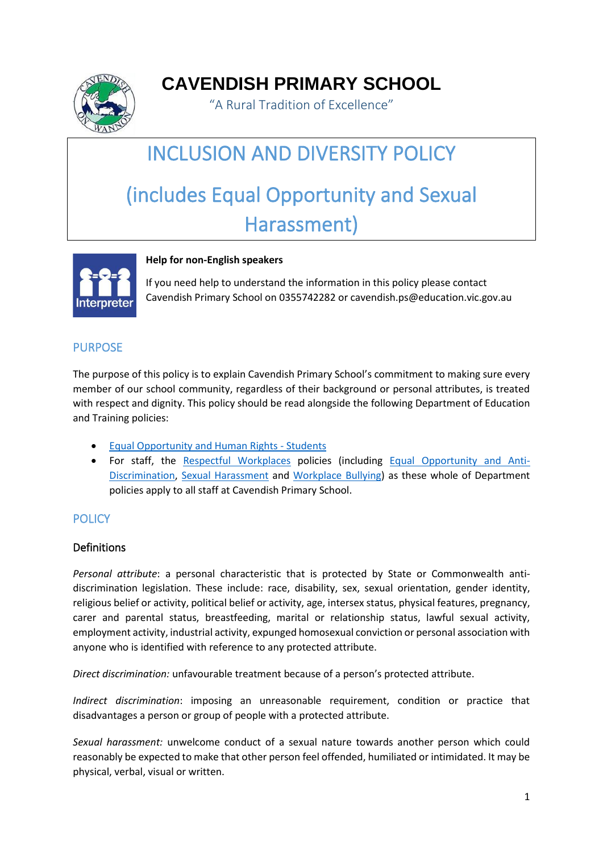

**CAVENDISH PRIMARY SCHOOL**

"A Rural Tradition of Excellence"

# INCLUSION AND DIVERSITY POLICY (includes Equal Opportunity and Sexual Harassment)



#### **Help for non-English speakers**

If you need help to understand the information in this policy please contact Cavendish Primary School on 0355742282 or cavendish.ps@education.vic.gov.au

## PURPOSE

The purpose of this policy is to explain Cavendish Primary School's commitment to making sure every member of our school community, regardless of their background or personal attributes, is treated with respect and dignity. This policy should be read alongside the following Department of Education and Training policies:

- [Equal Opportunity and Human Rights -](https://www2.education.vic.gov.au/pal/equal-opportunity-human-rights-students/policy) Students
- For staff, the [Respectful Workplaces](https://www2.education.vic.gov.au/pal/respectful-workplaces/overview) policies (including [Equal Opportunity and Anti-](https://www2.education.vic.gov.au/pal/equal-opportunity/overview)[Discrimination,](https://www2.education.vic.gov.au/pal/equal-opportunity/overview) [Sexual Harassment](https://www2.education.vic.gov.au/pal/sexual-harassment/overview) and [Workplace Bullying\)](https://www2.education.vic.gov.au/pal/workplace-bullying/policy) as these whole of Department policies apply to all staff at Cavendish Primary School.

## **POLICY**

## **Definitions**

*Personal attribute*: a personal characteristic that is protected by State or Commonwealth antidiscrimination legislation. These include: race, disability, sex, sexual orientation, gender identity, religious belief or activity, political belief or activity, age, intersex status, physical features, pregnancy, carer and parental status, breastfeeding, marital or relationship status, lawful sexual activity, employment activity, industrial activity, expunged homosexual conviction or personal association with anyone who is identified with reference to any protected attribute.

*Direct discrimination:* unfavourable treatment because of a person's protected attribute.

*Indirect discrimination*: imposing an unreasonable requirement, condition or practice that disadvantages a person or group of people with a protected attribute.

*Sexual harassment:* unwelcome conduct of a sexual nature towards another person which could reasonably be expected to make that other person feel offended, humiliated or intimidated. It may be physical, verbal, visual or written.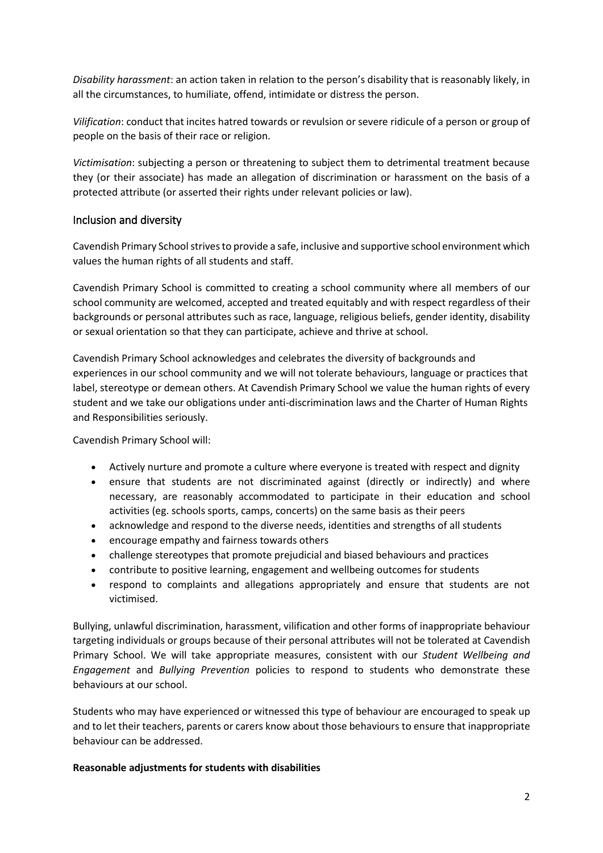*Disability harassment*: an action taken in relation to the person's disability that is reasonably likely, in all the circumstances, to humiliate, offend, intimidate or distress the person.

*Vilification*: conduct that incites hatred towards or revulsion or severe ridicule of a person or group of people on the basis of their race or religion.

*Victimisation*: subjecting a person or threatening to subject them to detrimental treatment because they (or their associate) has made an allegation of discrimination or harassment on the basis of a protected attribute (or asserted their rights under relevant policies or law).

#### Inclusion and diversity

Cavendish Primary School strives to provide a safe, inclusive and supportive school environment which values the human rights of all students and staff.

Cavendish Primary School is committed to creating a school community where all members of our school community are welcomed, accepted and treated equitably and with respect regardless of their backgrounds or personal attributes such as race, language, religious beliefs, gender identity, disability or sexual orientation so that they can participate, achieve and thrive at school.

Cavendish Primary School acknowledges and celebrates the diversity of backgrounds and experiences in our school community and we will not tolerate behaviours, language or practices that label, stereotype or demean others. At Cavendish Primary School we value the human rights of every student and we take our obligations under anti-discrimination laws and the Charter of Human Rights and Responsibilities seriously.

Cavendish Primary School will:

- Actively nurture and promote a culture where everyone is treated with respect and dignity
- ensure that students are not discriminated against (directly or indirectly) and where necessary, are reasonably accommodated to participate in their education and school activities (eg. schools sports, camps, concerts) on the same basis as their peers
- acknowledge and respond to the diverse needs, identities and strengths of all students
- encourage empathy and fairness towards others
- challenge stereotypes that promote prejudicial and biased behaviours and practices
- contribute to positive learning, engagement and wellbeing outcomes for students
- respond to complaints and allegations appropriately and ensure that students are not victimised.

Bullying, unlawful discrimination, harassment, vilification and other forms of inappropriate behaviour targeting individuals or groups because of their personal attributes will not be tolerated at Cavendish Primary School. We will take appropriate measures, consistent with our *Student Wellbeing and Engagement* and *Bullying Prevention* policies to respond to students who demonstrate these behaviours at our school.

Students who may have experienced or witnessed this type of behaviour are encouraged to speak up and to let their teachers, parents or carers know about those behaviours to ensure that inappropriate behaviour can be addressed.

#### **Reasonable adjustments for students with disabilities**